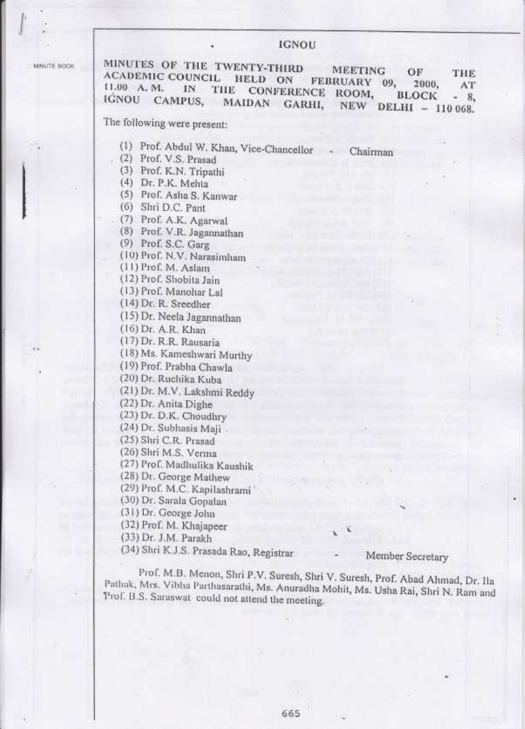#### IGNOU

MINUTE BOOK

MINUTES OF THE TWENTY-THIRD MINUTES OF THE TWENTY-THIRD MEETING OF THE ACADEMIC COUNCIL HELD ON FEBRUARY 09 2000 AT READEMIC COUNCIL HELD ON FEBRUARY 09, 2000, AT<sub>ri</sub> rom, 'Inc. Conference room, 'BLOCK - 8, campus, 'MAIDAN GARHI, 'NEW DELHI - 110 068. The following were present: (1) Prof. Abdul W. Khan, Vice-Chancellor (2) Prof. V.S. prasad (3) Prof. K.N. Tripathi (4) Dr. P.K. Melrta (5) ProL Asha S, Kanwar (6) Shri D.C. panr (7) Prof. A.K. Agarwal (8) Prof. V.R. Jagannathan (9) Prof. S.C. Garg (10) Prof. N.V. Narasimham (11) Prof. M. Aslam ( 12) Prol'. Shobita Jain ( l3) Prof. Manohar Lal (la) Dr. R. Sreedher (15) Dr. Neela Jagannathan ( l6) Dr. A.R. Khan (17) Dr. R.R. Rausaria (l8) Ms. Kameshwari Murthy (19) Prof. Prabha Chawla (20) Dr. Ruclrika Kuba (21) Dr. M.V. Lakshmi Recldy (22)Dr. Anita Dighe (23) Dr. D.K. Choudhry (24) Dr. Subhasis Maji . (25) Shri C.R. Prasad (26) Strri M.S. Verrna (27) Prof. Madhulika Kaushik (28) Dr. George Marhew (29) Prof. M.C. Kapilashrami (30) Dr. Sarala Gopalan (31) Dr. Ceorge John (32) Prof. M. Khajapeer (33) Dr. J.M. Parakh " (34) Shri K.J.S. prasada Rao, Registrar - Chairman Member Secretary Prof. M.B. Menon, Shri P.V. Suresh, Shri V. Suresh, Prof. Abad Ahmad, Dr. Ila Pathak, Mrs. Vibha Parthasarathi, Ms. Anuradha Mohit, Ms. Usha Rai, Shri N. Ram and l'annik, Wils. Vithia Parthasarathi, Ms. Anuradha Mohit, Ms. Usha Rai, Shri N. Ram and<br>Prof. B.S. Saraswat could not attend the meeting.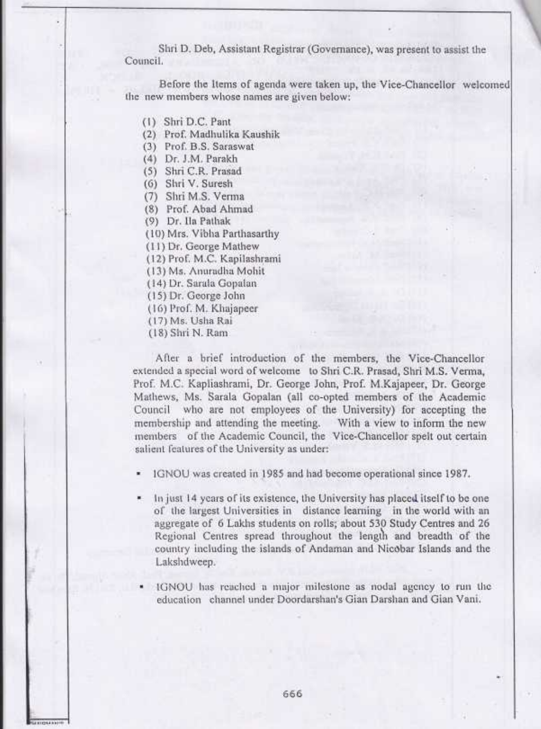Shri D. Deb, Assistant Registrar (Governance), was present to assist the Council.

Before the Items of agenda were taken up, the Vice-Chancellor welcomed the new members whose names are given below:

- (l) Shri D.C. Pant
- (2) Prof. Madhulika Kaushik
- (3) Prof. B.S. Saraswat
- (4) Dr. J.M. Parakh
- (5) Shri C.R. Prasad
- (6) Shri V. Suresh
- (7) Shri M.S. Verma
- (8) Prof. Abad Ahmad
- (9) Dr. lla Pathak
- (10) Mrs. Vibha Parthasarthy
- (1 I ) Dr. George Mathew
- (12) Prof. M.C. Kapilashrami
- ( l3) Ms. Arruradha Mohit
- ( l4) Dr. Sarala Gopalan
- ( l5) Dr. George John
- (16) Prof. M. Khajapeer
- (17) Ms. Usha Rai
- (18) Shri N. Ram.

After a brief introduction of the members, the Vice-Chancellor extended a special word of welcome to Shri C.R. Prasad, Shri M.S. Verma, Prof. M.C. Kapliashrami, Dr. George John, Prof. M.Kajapeer, Dr. George Mathews, Ms. Sarala Gopalan (all co-opted members of the Academic Council who are not employees of the University) for accepting the membership and attending the meeting. With a view to inform the new membership and attending the meeting. members of the Academic Council, the Vice-Chancellor spelt out certain salient features of the University as under:

' IGNOU was created in 1985 and had become operational since 1987.

- . ln just l4 ycars of its existerrce, the Univcrsity has placed.itself to bc one of the largest Universities in distance learning in the world with an aggregate of 6 Lakhs students on rolls; about 530 Study Centres and 26 Regional Centres spread throughout the length and breadth of the country including the islands of Andarnan and Nic0bar Islands and the Lalcshdweep.
- IGNOU has reached a major milestone as nodal agency to run the education channel under Doordarshan's Gian Darshan and Gian Vani.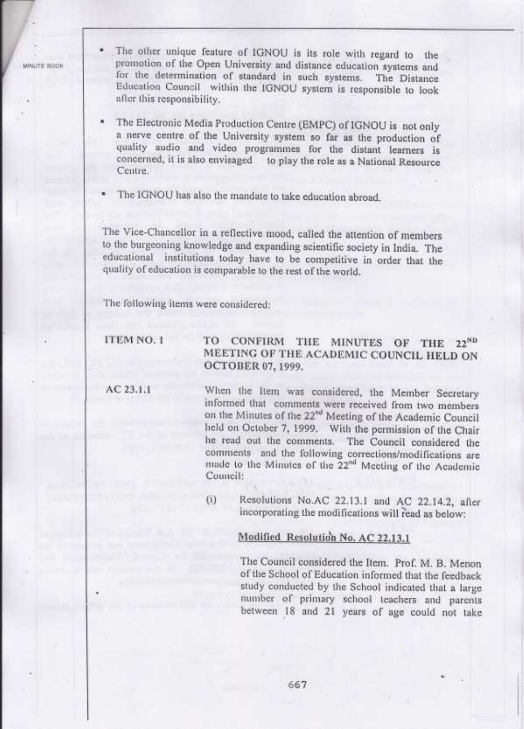**MINITE ROOK** 

The other unique feature of IGNOU is its role with regard to the promotion of the Open University and distance education systems and for the determination of standard in such systems. The Distance Education Council within after this responsibility.

The Electronic Media Production Centre (EMPC) of IGNOU is not only a nerve centre of the University system so far as the production of quality audio and video programmes for the distant learners is concerned, it is also envisaged to play the role as a National Resource Ccritre.

The IGNOU has also the mandate to take education abroad.

The Vice-Chancellor in a reflective mood, called the attention of members to the burgeoning knowledge and expanding scientific society in India. The educational institutions today have to be competitive in order that the quality of education is comparable to the rest of the world.

The following items were considered:

### ITEM<sub>NO. I</sub>

# TO CONFIRM THE MINUTES OF THE 22<sup>ND</sup> MEETING OF THE ACADEMIC COUNCIL HELD ON<br>OCTOBER 07, 1999.

AC 23.1.1

When the Item was considered, the Member Secretary informed that comments were received from two members on the Minutes of the 22<sup>nd</sup> Meeting of the Academic Council held on October 7, 1999. With the permission of the Chair he read out the comments. The Council considered the comments and the following corrections/modifications are made to the Minutes of the 22<sup>nd</sup> Meeting of the Academic Council:

(i) Resolutions No.AC  $22.13.1$  and AC  $22.14.2$ , after incorporating the modifications will read as below:

#### Modified Resolution No. AC 22.13.1

The Council considered the Item. Prof. M. B. Menon of the School of Education informed that the feeclback study conducted by the School indicated that a large number of primary school teachers and parents between 18 and 2l years of age could not take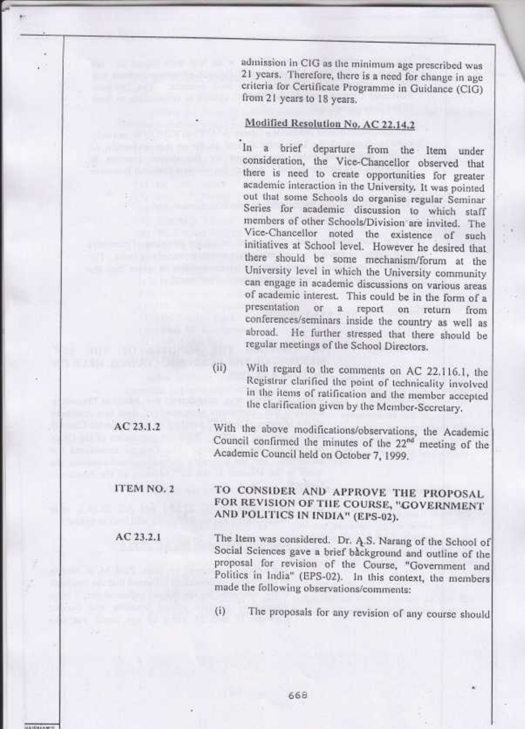admission in CIG as the minimum age prescribed was 21 years. Therefore, there is a need for change in age criteria for Certificate Programme in Guidance (CIG) from 21 years to 18 years.

### Modified Resolution No. AC 22.14.2

In a brief departure from the Item under consideration, the Vice-Chancellor observed that there is need to create opportunities for greater academic interaction in the University. It was pointed out that some Schools do organise regular Seminar Series for academic discussion to which staff members of other Schools/Division are invited. The Vice-Chancellor noted the existence of such initiatives at School level. However he desired that there should be some mechanism/forum at the University level in which the University community can engage in academic discussions on various areas of academic interest. This could be in the form of a presentation or a report on return from conferences/seminars inside the country as well as abroad. He further stressed that there should be regular meetings of the School Directors.

(ii) With regard to the comments on AC 22.116.1, the Registrar clarified the point of technicality involved in the items of ratification and the member accepted the elarification given by the Member-Secretary.

With the above modifications/observations, the Academic Council confirmed the minutes of the 22<sup>nd</sup> meeting of the Academic Council held on October 7, 1999.

ITEM NO. 2

AC 23.1.2

 $AC23.2.1$ 

TO CONSIDER AND APPROVE THE PROPOSAL FOR REVISION OF THE COURSE, "GOVERNMENT AND POLITICS IN INDIA" (EPS-02).

The Item was considered. Dr. A.S. Narang of the School of Social Sciences gave a brief background and outline of the proposal for revision of the Course, "Government and Politics in India" (EPS-02). In this context, the members made the following observations/comments:

The proposals for any revision of any course should  $(i)$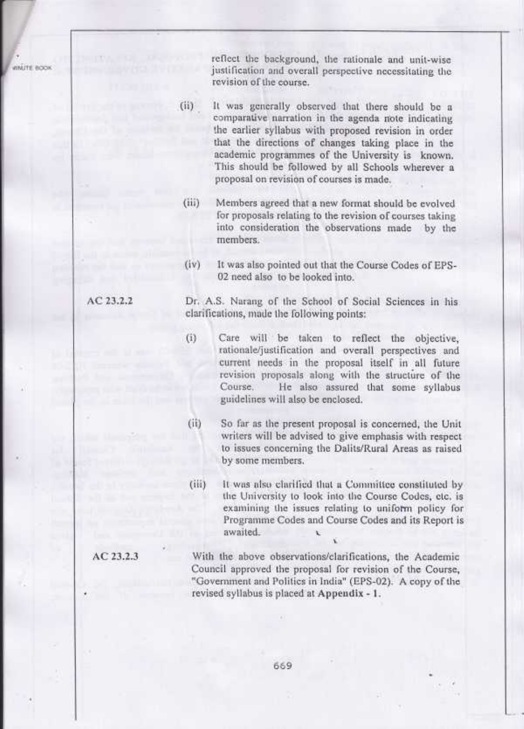*MINUTE BOOK* 

reflect the background, the rationale and unit-wise justification and overall perspective necessitating the revision of the course.

( ii) It was generally observed that there should be a comparative narration in the agenda note indicating the earlier syllabus with proposed revision in order that the directions of changes taking place in the academic programmes of the University is known. This should be followed by all Schools wherever <sup>a</sup> proposal on revision of courses is made..

- (iii) Members agreed that a new format should be evolved for proposals relating to the revision of courses taking into consideration the observations made by the members.
- (iv) lt was also pointed out that the Course Codes of EPS-02 need also to be looked into.

Dr, A.S. Narang of the School of Social Sciences in his clarifications, made the following points:

(i) Care will be taken to reflect the objective, rationale/justification and overall perspectives and current needs in the proposal itself in all future revision proposals along with the structure of the<br>Course. He also assured that some syllabus He also assured that some syllabus guidelines will also be enclosed.

(ii) So far as the present proposal is concerned, the Unit writers will be advised to give ernphasis with respect to issues conceming the Dalits/Rural Areas as raised by some members.

(iii) It was also clarified that a Committee constituted by the Univcrsity to look into the Coursc Codcs; ctc, is examining the issues relating to uniform policy for Programme Codes and Course Codes and its Report is awaited. . .

With the above observations/clarifications, the Acadernic Council approved the proposal for revision of the Course, "Governrnent and Politics in India" (EPS-02). A copy of the revised syllabus is placed at Appendix - 1.

## AC 23.2.2

AC 23.2.3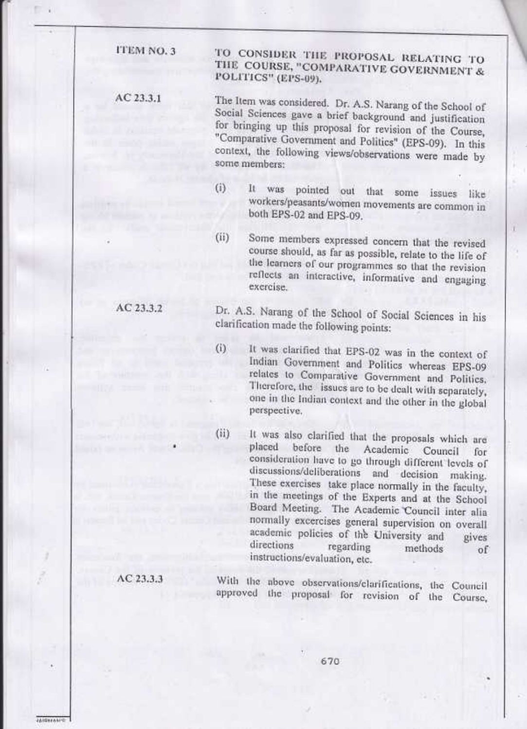ITEM NO. 3

 $AC23.3.1$ 

TO CONSIDER THE PROPOSAL RELATING TO THE COURSE, "COMPARATIVE GOVERNMENT & POLITICS" (EPS-09).

The Item was considered. Dr. A.S. Narang of the School of Social Sciences gave a brief background and justification for bringing up this proposal for revision of the Course, "Comparative Government and Politics" (EPS-09). In this context, the following views/observations were made by some members:

 $(i)$ pointed out that some issues like It was workers/peasants/women movements are common in both EPS-02 and EPS-09.

Some members expressed concern that the revised  $(ii)$ course should, as far as possible, relate to the life of the learners of our programmes so that the revision reflects an interactive, informative and engaging exercise.

AC 23.3.2

Dr. A.S. Narang of the School of Social Sciences in his clarification made the following points:

- It was clarified that EPS-02 was in the context of  $(i)$ Indian Government and Politics whereas EPS-09 relates to Comparative Government and Politics. Therefore, the issues are to be dealt with separately, one in the Indian context and the other in the global perspective.
- It was also clarified that the proposals which are  $(ii)$ placed before the Academic Council for consideration have to go through different levels of discussions/deliberations and decision making. These exercises take place normally in the faculty, in the meetings of the Experts and at the School Board Meeting. The Academic Council inter alia normally excercises general supervision on overall academic policies of the University and gives directions regarding methods of instructions/evaluation, etc.

 $AC23.3.3$ 

**AIDEASAN** 

With the above observations/elarifications, the Council approved the proposal for revision of the Course,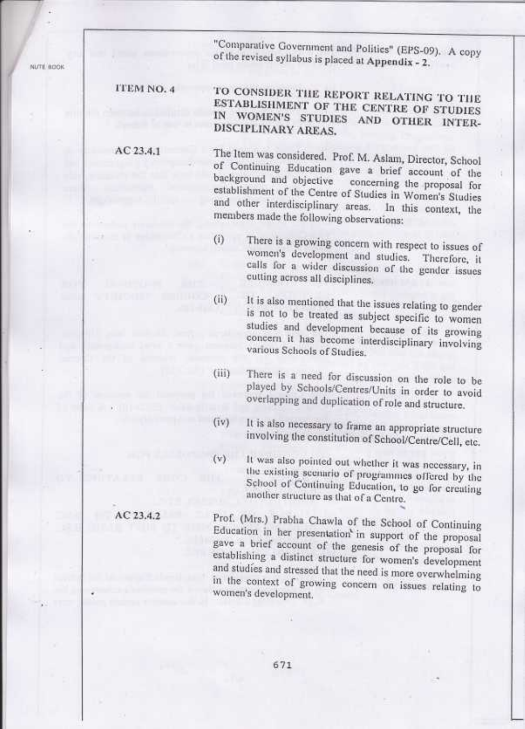NUTE BOOK

"Comparative Government and Politics" (EPS-09). A copy of the revised syllabus is placed at Appendix - 2.

**ITEM NO. 4** 

AC 23.4.1

TO CONSIDER THE REPORT RELATING TO THE ESTABLISHMENT OF THE CENTRE OF STUDIES IN WOMEN'S STUDIES AND OTHER INTER-DISCIPLINARY AREAS.

The Item was considered. Prof. M. Aslam, Director, School of Continuing Education gave a brief account of the background and objective concerning the proposal for establishment of the Centre of Studies in Women's Studies and other interdisciplinary areas. In this context, the members made the following observations:

- There is a growing concern with respect to issues of  $(i)$ women's development and studies. Therefore, it calls for a wider discussion of the gender issues cutting across all disciplines.
- It is also mentioned that the issues relating to gender  $(ii)$ is not to be treated as subject specific to women studies and development because of its growing concern it has become interdisciplinary involving various Schools of Studies.
- There is a need for discussion on the role to be  $(iii)$ played by Schools/Centres/Units in order to avoid overlapping and duplication of role and structure.
- It is also necessary to frame an appropriate structure  $(iv)$ involving the constitution of School/Centre/Cell, etc.
- It was also pointed out whether it was necessary, in  $(v)$ the existing scenario of programmes offered by the School of Continuing Education, to go for creating another structure as that of a Centre.

Prof. (Mrs.) Prabha Chawla of the School of Continuing Education in her presentation' in support of the proposal gave a brief account of the genesis of the proposal for establishing a distinct structure for women's development and studies and stressed that the need is more overwhelming in the context of growing concern on issues relating to women's development.

AC 23.4.2

671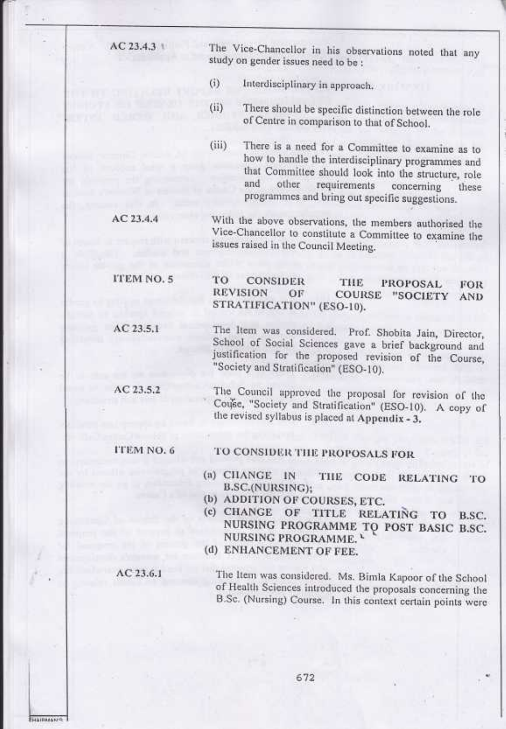$AC23.4.31$ 

The Vice-Chancellor in his observations noted that any study on gender issues need to be :

- Interdisciplinary in approach.  $(i)$
- There should be specific distinction between the role  $(ii)$ of Centre in comparison to that of School.

There is a need for a Committee to examine as to  $(iii)$ how to handle the interdisciplinary programmes and that Committee should look into the structure, role and other requirements concerning these programmes and bring out specific suggestions.

With the above observations, the members authorised the  $AC23.4.4$ Vice-Chancellor to constitute a Committee to examine the issues raised in the Council Meeting.

#### ITEM NO. 5 TO **CONSIDER** THE **PROPOSAL** FOR **REVISION** OF COURSE "SOCIETY AND STRATIFICATION" (ESO-10).

The Item was considered. Prof. Shobita Jain, Director, School of Social Sciences gave a brief background and justification for the proposed revision of the Course, "Society and Stratification" (ESO-10).

The Council approved the proposal for revision of the AC 23.5.2 Couse, "Society and Stratification" (ESO-10). A copy of the revised syllabus is placed at Appendix - 3.

**ITEM NO. 6** 

 $AC23.5.1$ 

### TO CONSIDER THE PROPOSALS FOR

- (a) CHANGE IN THE CODE RELATING TO B.SC.(NURSING):
- (b) ADDITION OF COURSES, ETC.
- (c) CHANGE OF TITLE RELATING TO B.SC. NURSING PROGRAMME TO POST BASIC B.SC. NURSING PROGRAMME.
- (d) ENHANCEMENT OF FEE.

 $AC23.6.1$ 

The Item was considered. Ms. Bimla Kapoor of the School of Health Sciences introduced the proposals concerning the B.Sc. (Nursing) Course. In this context certain points were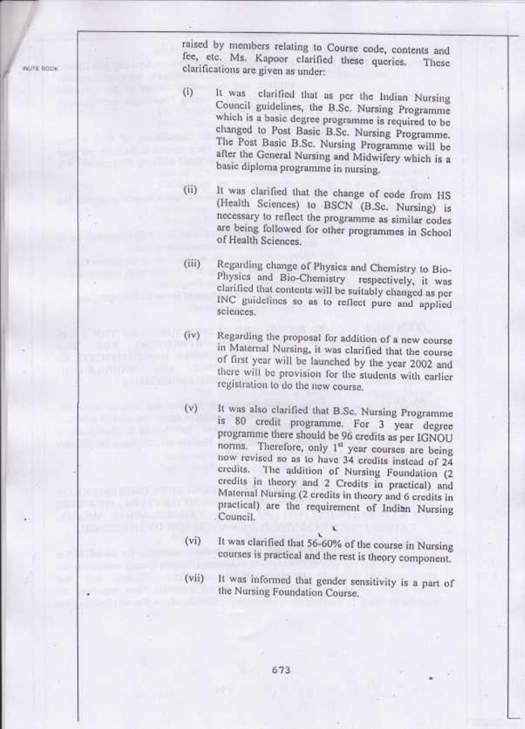WUTE BOOK

raised by members relating to Course code, contents and fee, etc. Ms. Kapoor clarified these queries. These clarifications are given as under:

- $(i)$ It was clarified that as per the Indian Nursing Council guidelines, the B.Sc. Nursing Programme which is a basic degree programme is required to be changed to Post Basic B.Sc. Nursing Programme. The Post Basic B.Sc. Nursing Programme will be after the General Nursing and Midwifery which is a basic diploma programme in nursing.
	- It was clarified that the change of code from HS  $(ii)$ (Health Sciences) to BSCN (B.Sc. Nursing) is necessary to reflect the programme as similar codes are being followed for other programmes in School of Health Sciences.
	- Regarding change of Physics and Chemistry to Bio- $(iii)$ Physics and Bio-Chemistry respectively, it was clarified that contents will be suitably changed as per INC guidelines so as to reflect pure and applied sciences.
	- Regarding the proposal for addition of a new course  $(iv)$ in Maternal Nursing, it was clarified that the course of first year will be launched by the year 2002 and there will be provision for the students with earlier registration to do the new course.
		- It was also clarified that B.Sc. Nursing Programme is 80 credit programme. For 3 year degree programme there should be 96 credits as per IGNOU norms. Therefore, only 1<sup>st</sup> year courses are being now revised so as to have 34 credits instead of 24 The addition of Nursing Foundation (2 credits. credits in theory and 2 Credits in practical) and Maternal Nursing (2 credits in theory and 6 credits in practical) are the requirement of Indian Nursing Council.
	- It was clarified that 56-60% of the course in Nursing (vi) courses is practical and the rest is theory component.
	- It was informed that gender sensitivity is a part of  $(vii)$ the Nursing Foundation Course.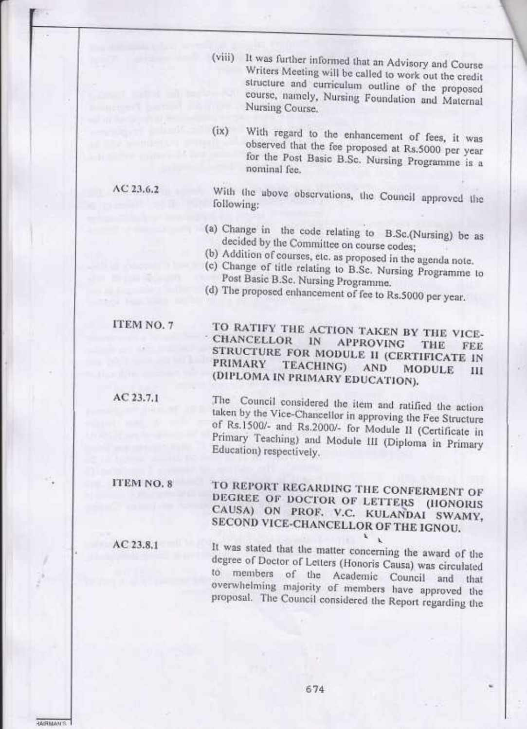- It was further informed that an Advisory and Course  $(viii)$ Writers Meeting will be called to work out the credit structure and curriculum outline of the proposed course, namely, Nursing Foundation and Maternal Nursing Course.
- With regard to the enhancement of fees, it was  $(ix)$ observed that the fee proposed at Rs.5000 per year for the Post Basic B.Sc. Nursing Programme is a nominal fee.

With the above observations, the Council approved the following:

- (a) Change in the code relating to B.Sc.(Nursing) be as decided by the Committee on course codes;
- (b) Addition of courses, etc. as proposed in the agenda note.
- (c) Change of title relating to B.Sc. Nursing Programme to Post Basic B.Sc. Nursing Programme.

TO RATIFY THE ACTION TAKEN BY THE VICE-

STRUCTURE FOR MODULE II (CERTIFICATE IN

The Council considered the item and ratified the action

taken by the Vice-Chancellor in approving the Fee Structure of Rs.1500/- and Rs.2000/- for Module II (Certificate in Primary Teaching) and Module III (Diploma in Primary

**APPROVING** 

**AND** 

ТНЕ

**MODULE** 

FEE

Ш

(d) The proposed enhancement of fee to Rs.5000 per year.

 $1N$ 

TEACHING)

(DIPLOMA IN PRIMARY EDUCATION).

**CHANCELLOR** 

Education) respectively.

**PRIMARY** 

ITEM NO. 7

AC 23.6.2

AC 23.7.1

ITEM NO. 8

 $AC23.8.1$ 

**RAIRMAN'S** 

TO REPORT REGARDING THE CONFERMENT OF DEGREE OF DOCTOR OF LETTERS (HONORIS CAUSA) ON PROF. V.C. KULANDAI SWAMY, SECOND VICE-CHANCELLOR OF THE IGNOU.

It was stated that the matter concerning the award of the degree of Doctor of Letters (Honoris Causa) was circulated to members of the Academic Council and that overwhelming majority of members have approved the proposal. The Council considered the Report regarding the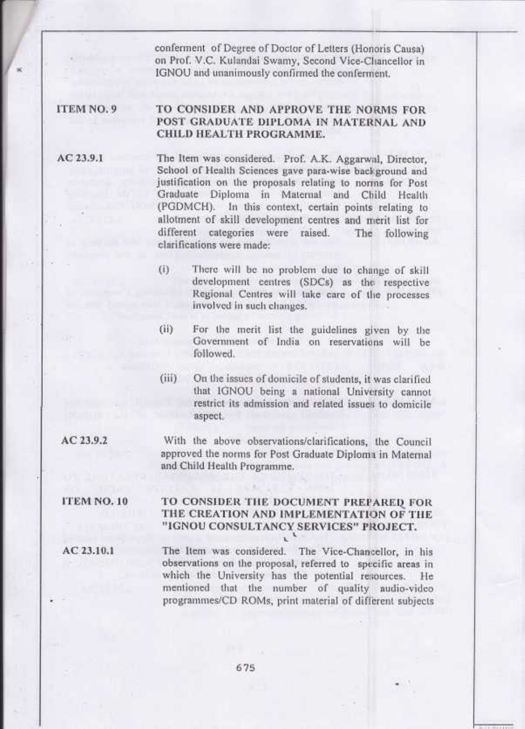confennent' of Degree of Doctor of Letters (Honoris Causa) on Prof. V.C. Kulandai Swamy, Second Vice-Chancellor in IGNOU and unanimously confirmed the conferment,

#### ITEM NO. 9 TO CONSIDER AND APPROVE THE NORMS FOR POST GRADUATE DIPLOMA IN MATERNAL AND CHILD HEALTH PROGRAMME.

AC 23.9.1

The Item was considered. Prof. A.K. Aggarwal, Director, School of Health Sciences gave para-wise background and justification on the proposals relating to norms for Post Graduate Diploma in Maternal and Child Health (PGDMCH). In this context, certain points relating to allotment of skill development centres and merit list for different categories were raised. The following clarifications were made:

- (i) There will be no problem due to change of skill development centres (SDCs) as the respective Regional Centres will take care of the processes involved in such changes.
- (ii) For the rnerit list the guidelines given by the Government of India on reservations will be followed.
- (iii) On the issues of domicile of students, it was clarified that IGNOU being a national University cannot restrict its admission and related issues to domicile aspect.
- AC 23.9.2 With the above observations/clarifications, the Council approved the nonns for Post Graduate Diploma in Maternal

### ITEM NO. 10

#### TO CONSIDER THE DOCUMENT PREPARED FOR THE CREATION AND IMPLEMENTATION OF THE "IGNOU CONSULTANCY SERVICES" PROJECT.  $\cdot$

AC 23.10.1

The Itenr was considered. The Vice-Chancellor, in his observations on the proposal, referred to specific areas in which the University has the potential resources. He mentioned that the nunrber of quality audio-video programmes/CD ROMs, print material of different subjects

and Child Health Programme.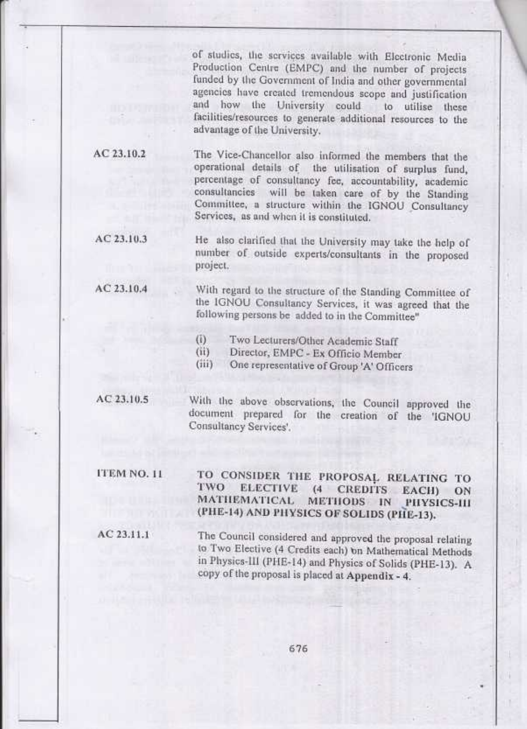of studies, the services available with Electronic Media-Production Centre (EMPC) and the number of projects funded by the Government of India and other governmental agencies have created tremendous scope and justification and how the University could to utilise these facilities/resources to generate additional resources to the advantage of the University.

 $AC23.10.2$ 

The Vice-Chancellor also informed the members that the operational details of the utilisation of surplus fund, percentage of consultancy fee, accountability, academic consultancies will be taken care of by the Standing Committee, a structure within the IGNOU Consultancy Services, as and when it is constituted.

 $AC23.10.3$ 

He also clarified that the University may take the help of number of outside experts/consultants in the proposed project.

AC 23.10.4

With regard to the structure of the Standing Committee of the IGNOU Consultancy Services, it was agreed that the following persons be added to in the Committee"

Two Lecturers/Other Academic Staff  $(i)$ 

Director, EMPC - Ex Officio Member (ii)

 $(iii)$ One representative of Group 'A' Officers

 $AC23.10.5$ 

With the above observations, the Council approved the document prepared for the creation of the 'IGNOU Consultancy Services'.

ITEM NO. 11

TO CONSIDER THE PROPOSAL RELATING TO TWO. **ELECTIVE** CREDITS EACH)  $(4)$ ON **MATHEMATICAL** METHODS IN PHYSICS-III (PHE-14) AND PHYSICS OF SOLIDS (PHE-13).

AC 23.11.1

The Council considered and approved the proposal relating to Two Elective (4 Credits each) on Mathematical Methods in Physics-III (PHE-14) and Physics of Solids (PHE-13). A copy of the proposal is placed at Appendix - 4.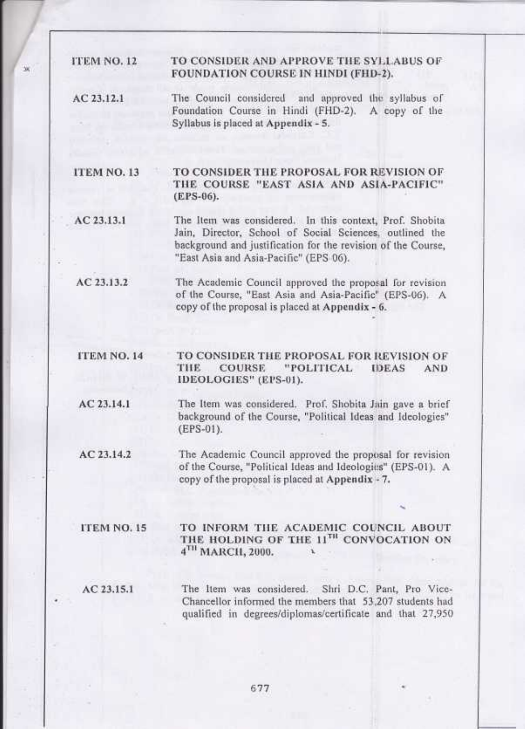#### ITEM NO. 12 TO CONSIDER AND APPROVE THE SYLLABUS OF FOUNDATION COURSE IN HINDI (FHD-2).

AC 23.12.1 The Council considered and approved the syllabus of Foundation Course in Hindi (FHD-2). A copy of the Syllabus is placed at Appendix - 5.

TO CONSIDER THE PROPOSAL FOR REVISION OF ITEM NO. 13 THE COURSE "EAST ASIA AND ASIA-PACIFIC" (EPS-06).

AC 23.13.1 The Item was considered. In this context, Prof. Shobita Jain, Director, School of Social Sciences, outlined the background and justification for the revision of the Course, "East Asia and Asia-Pacific" (EPS 06).

 $AC23.13.2$ The Academic Council approved the proposal for revision of the Course, "East Asia and Asia-Pacific" (EPS-06). A copy of the proposal is placed at Appendix - 6.

TO CONSIDER THE PROPOSAL FOR REVISION OF **ITEM NO. 14** THE **COURSE** "POLITICAL **IDEAS AND** IDEOLOGIES" (EPS-01).

AC 23.14.1 The Item was considered. Prof. Shobita Jain gave a brief background of the Course, "Political Ideas and Ideologies" (EPS-01).

 $AC23.14.2$ The Academic Council approved the proposal for revision of the Course, "Political Ideas and Ideologies" (EPS-01). A copy of the proposal is placed at Appendix - 7.

#### ITEM NO. 15

TO INFORM THE ACADEMIC COUNCIL ABOUT THE HOLDING OF THE 11TH CONVOCATION ON  $4^{TH}$  MARCH, 2000.

 $AC$  23.15.1

The Item was considered. Shri D.C. Pant, Pro Vice-Chancellor informed the members that 53,207 students had qualified in degrees/diplomas/certificate and that 27,950